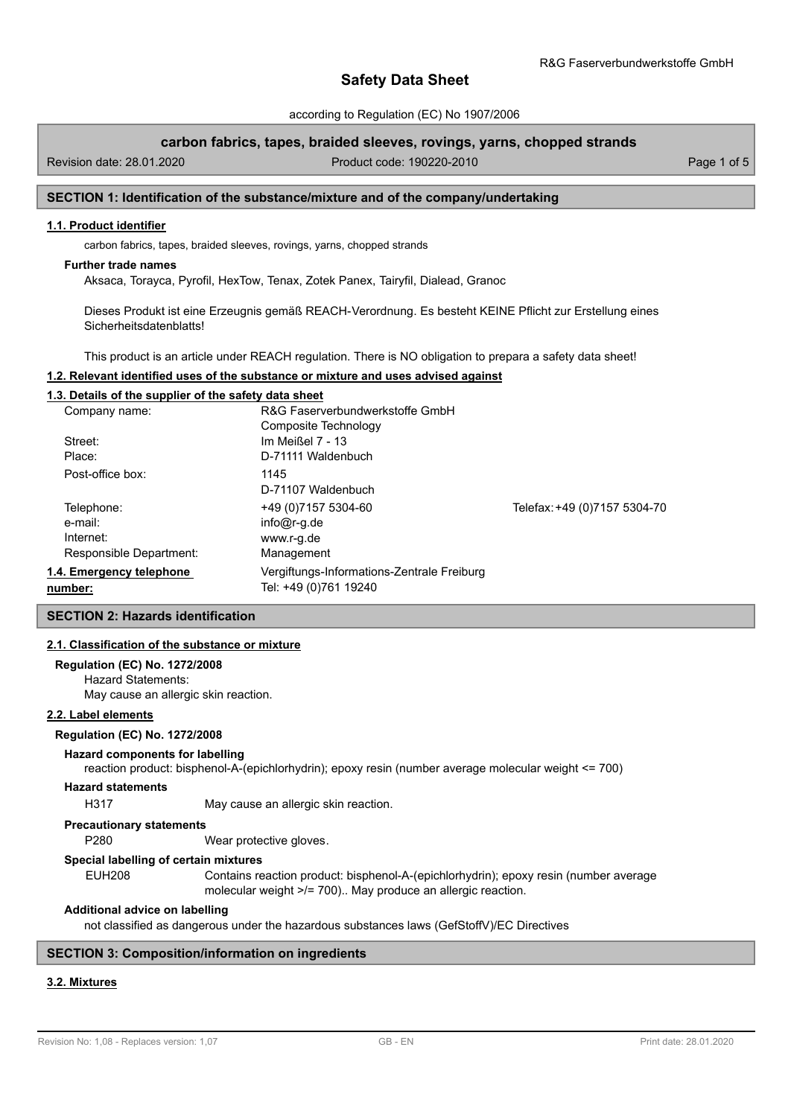according to Regulation (EC) No 1907/2006

## **carbon fabrics, tapes, braided sleeves, rovings, yarns, chopped strands**

Revision date: 28.01.2020 Product code: 190220-2010 Page 1 of 5

## **SECTION 1: Identification of the substance/mixture and of the company/undertaking**

### **1.1. Product identifier**

carbon fabrics, tapes, braided sleeves, rovings, yarns, chopped strands

#### **Further trade names**

Aksaca, Torayca, Pyrofil, HexTow, Tenax, Zotek Panex, Tairyfil, Dialead, Granoc

Dieses Produkt ist eine Erzeugnis gemäß REACH-Verordnung. Es besteht KEINE Pflicht zur Erstellung eines Sicherheitsdatenblatts!

This product is an article under REACH regulation. There is NO obligation to prepara a safety data sheet!

### **1.2. Relevant identified uses of the substance or mixture and uses advised against**

#### **1.3. Details of the supplier of the safety data sheet**

| Company name:            | R&G Faserverbundwerkstoffe GmbH            |                              |
|--------------------------|--------------------------------------------|------------------------------|
|                          | Composite Technology                       |                              |
| Street:                  | Im Meißel 7 - 13                           |                              |
| Place:                   | D-71111 Waldenbuch                         |                              |
| Post-office box:         | 1145                                       |                              |
|                          | D-71107 Waldenbuch                         |                              |
| Telephone:               | +49 (0) 7157 5304-60                       | Telefax: +49 (0)7157 5304-70 |
| e-mail:                  | $info@r-q.de$                              |                              |
| Internet:                | www.r-g.de                                 |                              |
| Responsible Department:  | Management                                 |                              |
| 1.4. Emergency telephone | Vergiftungs-Informations-Zentrale Freiburg |                              |
| number:                  | Tel: +49 (0)761 19240                      |                              |

## **SECTION 2: Hazards identification**

### **2.1. Classification of the substance or mixture**

### **Regulation (EC) No. 1272/2008**

Hazard Statements: May cause an allergic skin reaction.

## **2.2. Label elements**

#### **Regulation (EC) No. 1272/2008**

#### **Hazard components for labelling**

reaction product: bisphenol-A-(epichlorhydrin); epoxy resin (number average molecular weight <= 700)

### **Hazard statements**

H317 May cause an allergic skin reaction.

#### **Precautionary statements**

P280 Wear protective gloves.

#### **Special labelling of certain mixtures**

EUH208 Contains reaction product: bisphenol-A-(epichlorhydrin); epoxy resin (number average molecular weight >/= 700).. May produce an allergic reaction.

#### **Additional advice on labelling**

not classified as dangerous under the hazardous substances laws (GefStoffV)/EC Directives

### **SECTION 3: Composition/information on ingredients**

### **3.2. Mixtures**

Revision No: 1,08 - Replaces version: 1,07 GB - EN GB - EN Print date: 28.01.2020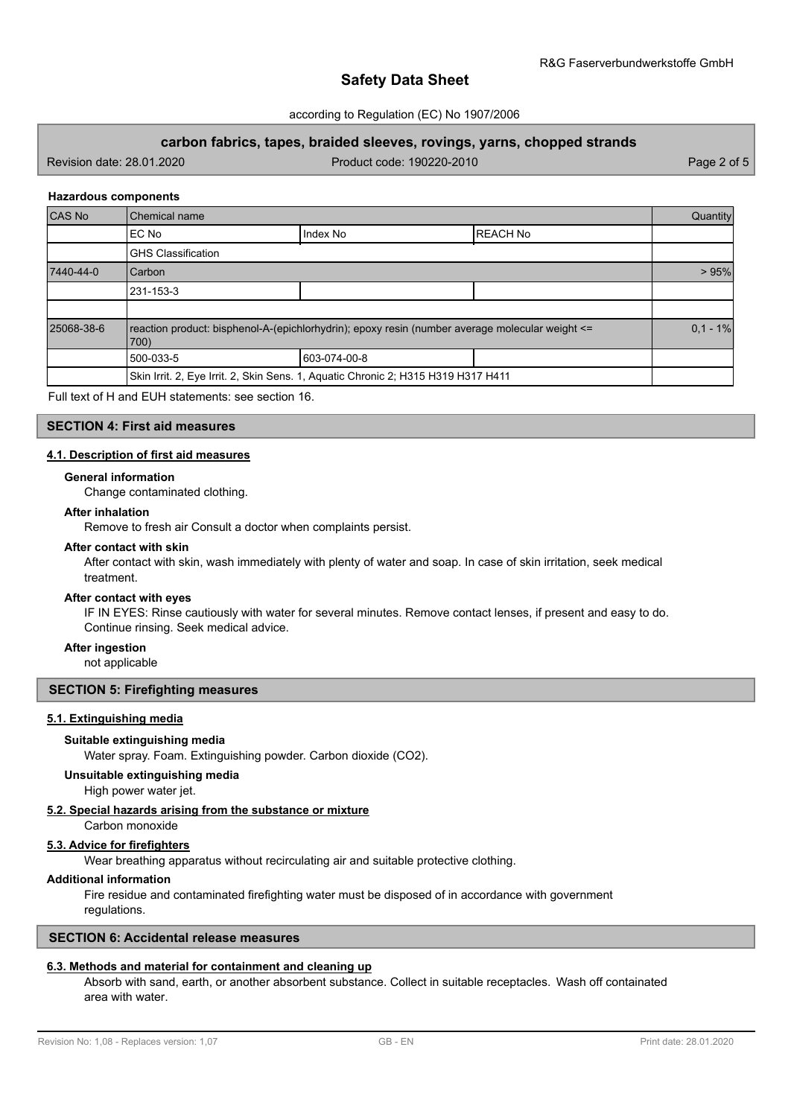### according to Regulation (EC) No 1907/2006

## **carbon fabrics, tapes, braided sleeves, rovings, yarns, chopped strands**

Revision date: 28.01.2020 Product code: 190220-2010 Page 2 of 5

### **Hazardous components**

| CAS No     | Chemical name                                                                                           |                                                                                   |                  |            |
|------------|---------------------------------------------------------------------------------------------------------|-----------------------------------------------------------------------------------|------------------|------------|
|            | EC No                                                                                                   | Index No                                                                          | <b>IREACH No</b> |            |
|            | <b>GHS Classification</b>                                                                               |                                                                                   |                  |            |
| 7440-44-0  | Carbon                                                                                                  |                                                                                   |                  | >95%       |
|            | 231-153-3                                                                                               |                                                                                   |                  |            |
|            |                                                                                                         |                                                                                   |                  |            |
| 25068-38-6 | reaction product: bisphenol-A-(epichlorhydrin); epoxy resin (number average molecular weight <=<br>700) |                                                                                   |                  | $0.1 - 1%$ |
|            | 500-033-5                                                                                               | 603-074-00-8                                                                      |                  |            |
|            |                                                                                                         | Skin Irrit. 2, Eye Irrit. 2, Skin Sens. 1, Aquatic Chronic 2; H315 H319 H317 H411 |                  |            |

Full text of H and EUH statements: see section 16.

## **SECTION 4: First aid measures**

### **4.1. Description of first aid measures**

#### **General information**

Change contaminated clothing.

#### **After inhalation**

Remove to fresh air Consult a doctor when complaints persist.

### **After contact with skin**

After contact with skin, wash immediately with plenty of water and soap. In case of skin irritation, seek medical treatment.

### **After contact with eyes**

IF IN EYES: Rinse cautiously with water for several minutes. Remove contact lenses, if present and easy to do. Continue rinsing. Seek medical advice.

#### **After ingestion**

not applicable

## **SECTION 5: Firefighting measures**

### **5.1. Extinguishing media**

#### **Suitable extinguishing media**

Water spray. Foam. Extinguishing powder. Carbon dioxide (CO2).

## **Unsuitable extinguishing media**

High power water jet.

## **5.2. Special hazards arising from the substance or mixture**

Carbon monoxide

## **5.3. Advice for firefighters**

Wear breathing apparatus without recirculating air and suitable protective clothing.

## **Additional information**

Fire residue and contaminated firefighting water must be disposed of in accordance with government regulations.

## **SECTION 6: Accidental release measures**

## **6.3. Methods and material for containment and cleaning up**

Absorb with sand, earth, or another absorbent substance. Collect in suitable receptacles. Wash off containated area with water.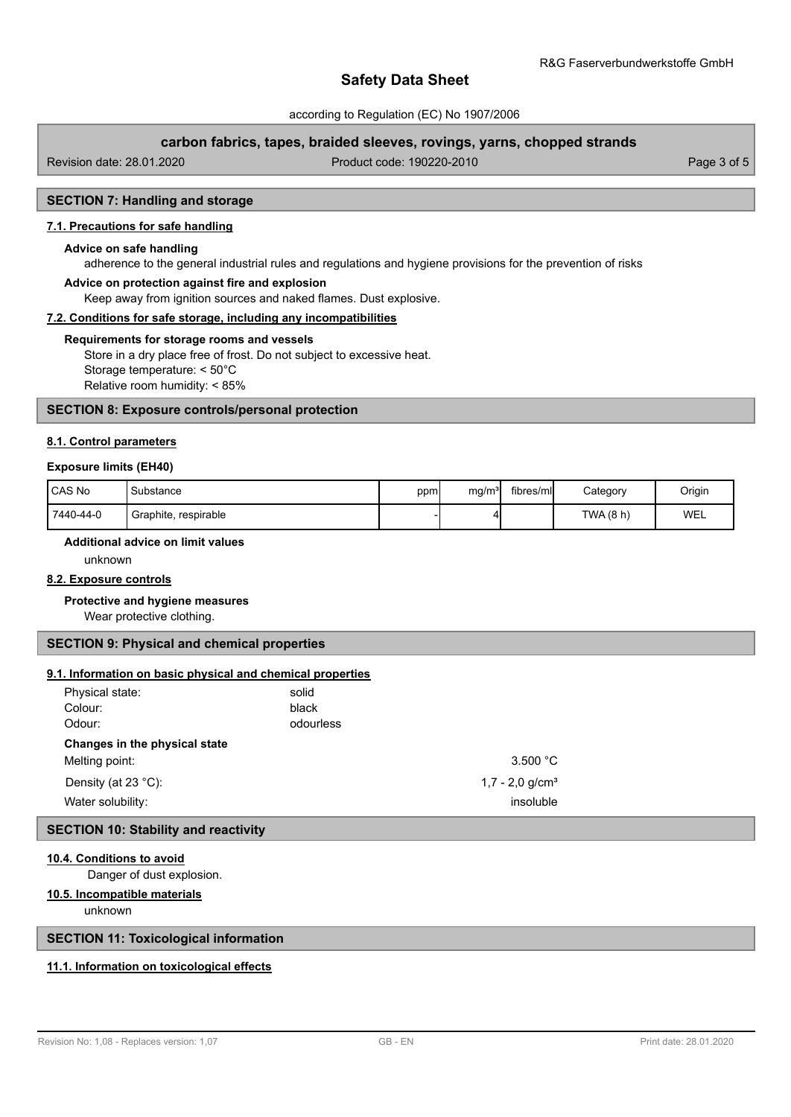according to Regulation (EC) No 1907/2006

## **carbon fabrics, tapes, braided sleeves, rovings, yarns, chopped strands**

Revision date: 28.01.2020 Product code: 190220-2010 Page 3 of 5

## **SECTION 7: Handling and storage**

## **7.1. Precautions for safe handling**

#### **Advice on safe handling**

adherence to the general industrial rules and regulations and hygiene provisions for the prevention of risks

## **Advice on protection against fire and explosion**

Keep away from ignition sources and naked flames. Dust explosive.

### **7.2. Conditions for safe storage, including any incompatibilities**

#### **Requirements for storage rooms and vessels**

Store in a dry place free of frost. Do not subject to excessive heat. Storage temperature: < 50°C Relative room humidity: < 85%

### **SECTION 8: Exposure controls/personal protection**

### **8.1. Control parameters**

### **Exposure limits (EH40)**

| CAS No    | Substance            | ppm | mg/m <sup>3</sup> | fibres/ml | Category  | Origin |
|-----------|----------------------|-----|-------------------|-----------|-----------|--------|
| 7440-44-0 | Graphite, respirable |     |                   |           | TWA (8 h) | WEL    |

## **Additional advice on limit values**

unknown

### **8.2. Exposure controls**

### **Protective and hygiene measures**

Wear protective clothing.

### **SECTION 9: Physical and chemical properties**

### **9.1. Information on basic physical and chemical properties**

| Physical state:<br>Colour:<br>Odour:              | solid<br>black<br>odourless |                                            |
|---------------------------------------------------|-----------------------------|--------------------------------------------|
| Changes in the physical state<br>Melting point:   |                             | 3.500 $^{\circ}$ C                         |
| Density (at $23^{\circ}$ C):<br>Water solubility: |                             | $1,7 - 2,0$ g/cm <sup>3</sup><br>insoluble |

## **SECTION 10: Stability and reactivity**

### **10.4. Conditions to avoid**

Danger of dust explosion.

## **10.5. Incompatible materials**

unknown

## **SECTION 11: Toxicological information**

## **11.1. Information on toxicological effects**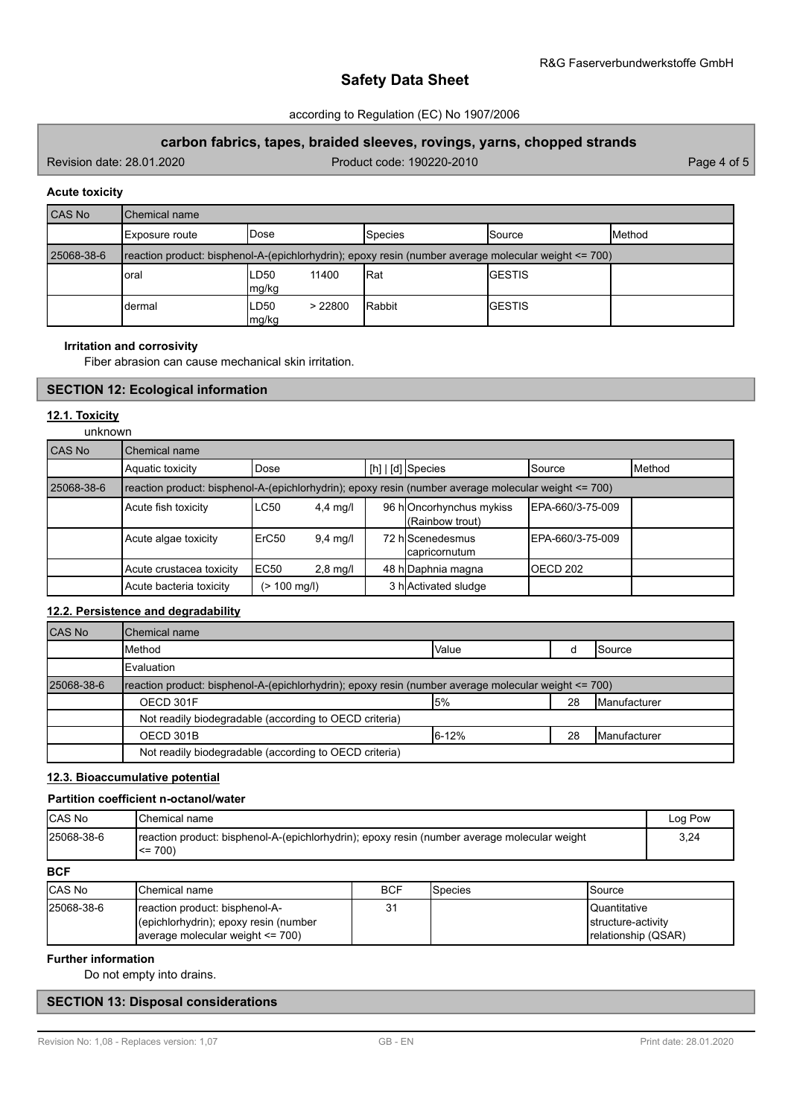## according to Regulation (EC) No 1907/2006

## **carbon fabrics, tapes, braided sleeves, rovings, yarns, chopped strands**

Revision date: 28.01.2020 Product code: 190220-2010 Page 4 of 5

### **Acute toxicity**

| CAS No     | Chemical name  |                          |                                                                                                      |                |                |  |  |
|------------|----------------|--------------------------|------------------------------------------------------------------------------------------------------|----------------|----------------|--|--|
|            | Exposure route | lDose                    | <b>Species</b>                                                                                       | <b>Source</b>  | <b>IMethod</b> |  |  |
| 25068-38-6 |                |                          | reaction product: bisphenol-A-(epichlorhydrin); epoxy resin (number average molecular weight <= 700) |                |                |  |  |
|            | oral           | LD50<br>11400<br>mg/kg   | l Rat                                                                                                | <b>IGESTIS</b> |                |  |  |
|            | dermal         | LD50<br>> 22800<br>mg/kg | Rabbit                                                                                               | <b>IGESTIS</b> |                |  |  |

### **Irritation and corrosivity**

Fiber abrasion can cause mechanical skin irritation.

## **SECTION 12: Ecological information**

## **12.1. Toxicity**

unknown

| CAS No     | Chemical name                                                                                        |              |                    |  |                                            |                   |        |
|------------|------------------------------------------------------------------------------------------------------|--------------|--------------------|--|--------------------------------------------|-------------------|--------|
|            | Aquatic toxicity                                                                                     | Dose         |                    |  | [h]   [d] Species                          | ISource           | Method |
| 25068-38-6 | reaction product: bisphenol-A-(epichlorhydrin); epoxy resin (number average molecular weight <= 700) |              |                    |  |                                            |                   |        |
|            | Acute fish toxicity                                                                                  | LC50         | $4,4$ mg/l         |  | 96 hOncorhynchus mykiss<br>(Rainbow trout) | IEPA-660/3-75-009 |        |
|            | Acute algae toxicity                                                                                 | ErC50        | $9.4 \text{ mq/l}$ |  | 72 hIScenedesmus<br>capricornutum          | IEPA-660/3-75-009 |        |
|            | Acute crustacea toxicity                                                                             | EC50         | $2,8$ mg/l         |  | 48 h Daphnia magna                         | IOECD 202         |        |
|            | Acute bacteria toxicity                                                                              | (> 100 mg/l) |                    |  | 3 h Activated sludge                       |                   |        |

## **12.2. Persistence and degradability**

| <b>CAS No</b> | Chemical name                                                                                        |       |    |                       |  |
|---------------|------------------------------------------------------------------------------------------------------|-------|----|-----------------------|--|
|               | Method                                                                                               | Value |    | <b>I</b> Source       |  |
|               | Evaluation                                                                                           |       |    |                       |  |
| 25068-38-6    | reaction product: bisphenol-A-(epichlorhydrin); epoxy resin (number average molecular weight <= 700) |       |    |                       |  |
|               | OECD 301F                                                                                            | 5%    | 28 | <b>IManufacturer</b>  |  |
|               | Not readily biodegradable (according to OECD criteria)                                               |       |    |                       |  |
|               | OECD 301B                                                                                            | 6-12% | 28 | <b>I</b> Manufacturer |  |
|               | Not readily biodegradable (according to OECD criteria)                                               |       |    |                       |  |

## **12.3. Bioaccumulative potential**

## **Partition coefficient n-octanol/water**

| ICAS No    | IChemical name                                                                                               | Log Pow |
|------------|--------------------------------------------------------------------------------------------------------------|---------|
| 25068-38-6 | reaction product: bisphenol-A-(epichlorhydrin); epoxy resin (number average molecular weight)<br>$\leq$ 700) | 3.24    |

**BCF**

| <b>CAS No</b> | <b>IChemical name</b>                                                                                             | <b>BCF</b> | Species | <b>Source</b>                                                      |
|---------------|-------------------------------------------------------------------------------------------------------------------|------------|---------|--------------------------------------------------------------------|
| 25068-38-6    | Ireaction product: bisphenol-A-<br>(epichlorhydrin); epoxy resin (number<br>Javerage molecular weight $\leq$ 700) | 31         |         | <b>I</b> Quantitative<br>structure-activity<br>relationship (QSAR) |

## **Further information**

Do not empty into drains.

## **SECTION 13: Disposal considerations**